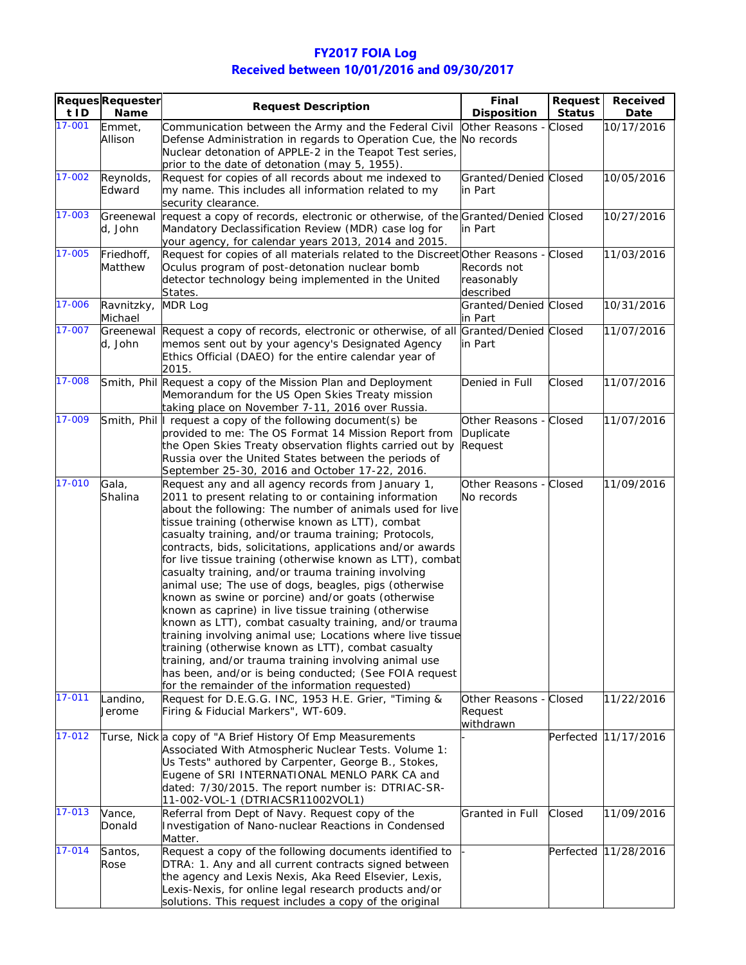## **FY2017 FOIA Log Received between 10/01/2016 and 09/30/2017**

| t ID   | <b>Reques Requester</b><br>Name | <b>Request Description</b>                                                                                                           | Final<br><b>Disposition</b> | <b>Request</b><br><b>Status</b> | Received<br>Date     |
|--------|---------------------------------|--------------------------------------------------------------------------------------------------------------------------------------|-----------------------------|---------------------------------|----------------------|
| 17-001 | Emmet,                          | Communication between the Army and the Federal Civil                                                                                 | Other Reasons - Closed      |                                 | 10/17/2016           |
|        | Allison                         | Defense Administration in regards to Operation Cue, the No records                                                                   |                             |                                 |                      |
|        |                                 | Nuclear detonation of APPLE-2 in the Teapot Test series,                                                                             |                             |                                 |                      |
|        |                                 | prior to the date of detonation (may 5, 1955).                                                                                       |                             |                                 |                      |
| 17-002 | Reynolds,                       | Request for copies of all records about me indexed to                                                                                | Granted/Denied Closed       |                                 | 10/05/2016           |
|        | Edward                          | my name. This includes all information related to my                                                                                 | in Part                     |                                 |                      |
|        |                                 | security clearance.                                                                                                                  |                             |                                 |                      |
| 17-003 | Greenewal                       | request a copy of records, electronic or otherwise, of the Granted/Denied Closed                                                     |                             |                                 | 10/27/2016           |
|        | d, John                         | Mandatory Declassification Review (MDR) case log for                                                                                 | in Part                     |                                 |                      |
| 17-005 |                                 | your agency, for calendar years 2013, 2014 and 2015.                                                                                 |                             |                                 |                      |
|        | Friedhoff,<br>Matthew           | Request for copies of all materials related to the Discreet Other Reasons - Closed<br>Oculus program of post-detonation nuclear bomb | Records not                 |                                 | 11/03/2016           |
|        |                                 | detector technology being implemented in the United                                                                                  | reasonably                  |                                 |                      |
|        |                                 | States.                                                                                                                              | described                   |                                 |                      |
| 17-006 | Ravnitzky,                      | MDR Log                                                                                                                              | Granted/Denied Closed       |                                 | 10/31/2016           |
|        | Michael                         |                                                                                                                                      | in Part                     |                                 |                      |
| 17-007 | Greenewal                       | Request a copy of records, electronic or otherwise, of all Granted/Denied Closed                                                     |                             |                                 | 11/07/2016           |
|        | d, John                         | memos sent out by your agency's Designated Agency                                                                                    | in Part                     |                                 |                      |
|        |                                 | Ethics Official (DAEO) for the entire calendar year of                                                                               |                             |                                 |                      |
| 17-008 |                                 | 2015.                                                                                                                                |                             |                                 |                      |
|        |                                 | Smith, Phil Request a copy of the Mission Plan and Deployment<br>Memorandum for the US Open Skies Treaty mission                     | Denied in Full              | Closed                          | 11/07/2016           |
|        |                                 | taking place on November 7-11, 2016 over Russia.                                                                                     |                             |                                 |                      |
| 17-009 |                                 | Smith, Phil I request a copy of the following document(s) be                                                                         | Other Reasons - Closed      |                                 | 11/07/2016           |
|        |                                 | provided to me: The OS Format 14 Mission Report from                                                                                 | Duplicate                   |                                 |                      |
|        |                                 | the Open Skies Treaty observation flights carried out by                                                                             | Request                     |                                 |                      |
|        |                                 | Russia over the United States between the periods of                                                                                 |                             |                                 |                      |
|        |                                 | September 25-30, 2016 and October 17-22, 2016.                                                                                       |                             |                                 |                      |
| 17-010 | Gala,                           | Request any and all agency records from January 1,                                                                                   | Other Reasons - Closed      |                                 | 11/09/2016           |
|        | Shalina                         | 2011 to present relating to or containing information                                                                                | No records                  |                                 |                      |
|        |                                 | about the following: The number of animals used for live                                                                             |                             |                                 |                      |
|        |                                 | tissue training (otherwise known as LTT), combat                                                                                     |                             |                                 |                      |
|        |                                 | casualty training, and/or trauma training; Protocols,<br>contracts, bids, solicitations, applications and/or awards                  |                             |                                 |                      |
|        |                                 | for live tissue training (otherwise known as LTT), combat                                                                            |                             |                                 |                      |
|        |                                 | casualty training, and/or trauma training involving                                                                                  |                             |                                 |                      |
|        |                                 | animal use; The use of dogs, beagles, pigs (otherwise                                                                                |                             |                                 |                      |
|        |                                 | known as swine or porcine) and/or goats (otherwise                                                                                   |                             |                                 |                      |
|        |                                 | known as caprine) in live tissue training (otherwise                                                                                 |                             |                                 |                      |
|        |                                 | known as LTT), combat casualty training, and/or trauma                                                                               |                             |                                 |                      |
|        |                                 | training involving animal use; Locations where live tissue                                                                           |                             |                                 |                      |
|        |                                 | training (otherwise known as LTT), combat casualty<br>training, and/or trauma training involving animal use                          |                             |                                 |                      |
|        |                                 | has been, and/or is being conducted; (See FOIA request                                                                               |                             |                                 |                      |
|        |                                 | for the remainder of the information requested)                                                                                      |                             |                                 |                      |
| 17-011 | Landino,                        | Request for D.E.G.G. INC, 1953 H.E. Grier, "Timing &                                                                                 | Other Reasons - Closed      |                                 | 11/22/2016           |
|        | Jerome                          | Firing & Fiducial Markers", WT-609.                                                                                                  | Request                     |                                 |                      |
|        |                                 |                                                                                                                                      | withdrawn                   |                                 |                      |
| 17-012 |                                 | Turse, Nick a copy of "A Brief History Of Emp Measurements                                                                           |                             |                                 | Perfected 11/17/2016 |
|        |                                 | Associated With Atmospheric Nuclear Tests. Volume 1:                                                                                 |                             |                                 |                      |
|        |                                 | Us Tests" authored by Carpenter, George B., Stokes,<br>Eugene of SRI INTERNATIONAL MENLO PARK CA and                                 |                             |                                 |                      |
|        |                                 | dated: 7/30/2015. The report number is: DTRIAC-SR-                                                                                   |                             |                                 |                      |
|        |                                 | 11-002-VOL-1 (DTRIACSR11002VOL1)                                                                                                     |                             |                                 |                      |
| 17-013 | Vance,                          | Referral from Dept of Navy. Request copy of the                                                                                      | Granted in Full             | Closed                          | 11/09/2016           |
|        | Donald                          | Investigation of Nano-nuclear Reactions in Condensed                                                                                 |                             |                                 |                      |
|        |                                 | Matter.                                                                                                                              |                             |                                 |                      |
| 17-014 | Santos,                         | Request a copy of the following documents identified to                                                                              |                             |                                 | Perfected 11/28/2016 |
|        | Rose                            | DTRA: 1. Any and all current contracts signed between                                                                                |                             |                                 |                      |
|        |                                 | the agency and Lexis Nexis, Aka Reed Elsevier, Lexis,                                                                                |                             |                                 |                      |
|        |                                 | Lexis-Nexis, for online legal research products and/or                                                                               |                             |                                 |                      |
|        |                                 | solutions. This request includes a copy of the original                                                                              |                             |                                 |                      |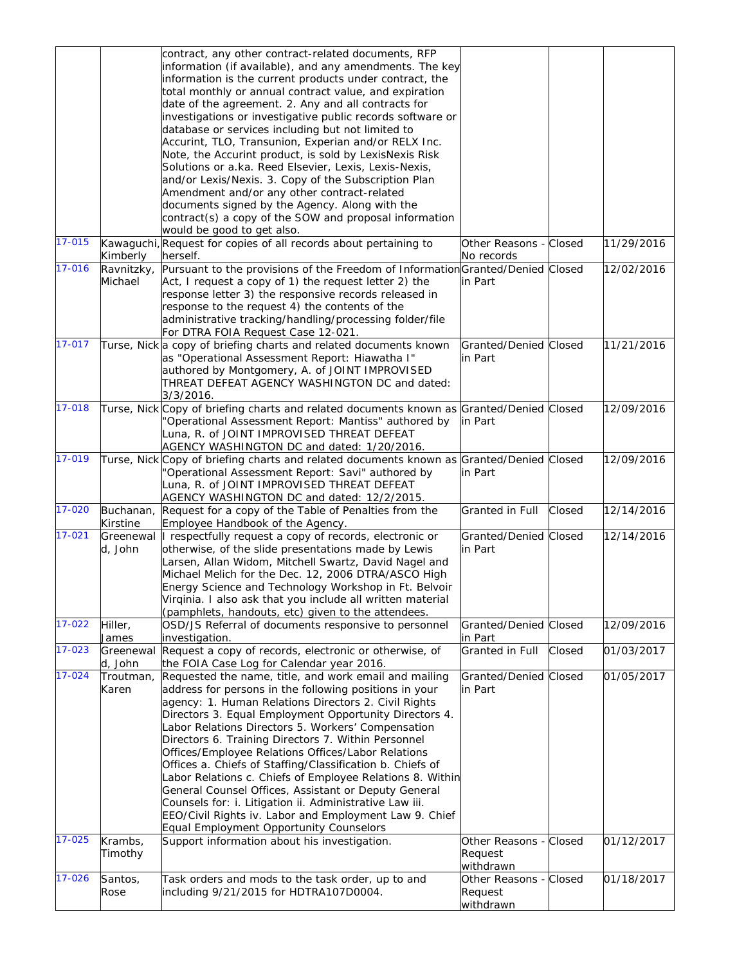|        |            | contract, any other contract-related documents, RFP                                      |                        |        |            |
|--------|------------|------------------------------------------------------------------------------------------|------------------------|--------|------------|
|        |            | information (if available), and any amendments. The key                                  |                        |        |            |
|        |            | information is the current products under contract, the                                  |                        |        |            |
|        |            | total monthly or annual contract value, and expiration                                   |                        |        |            |
|        |            | date of the agreement. 2. Any and all contracts for                                      |                        |        |            |
|        |            | investigations or investigative public records software or                               |                        |        |            |
|        |            | database or services including but not limited to                                        |                        |        |            |
|        |            | Accurint, TLO, Transunion, Experian and/or RELX Inc.                                     |                        |        |            |
|        |            | Note, the Accurint product, is sold by LexisNexis Risk                                   |                        |        |            |
|        |            | Solutions or a.ka. Reed Elsevier, Lexis, Lexis-Nexis,                                    |                        |        |            |
|        |            | and/or Lexis/Nexis. 3. Copy of the Subscription Plan                                     |                        |        |            |
|        |            | Amendment and/or any other contract-related                                              |                        |        |            |
|        |            | documents signed by the Agency. Along with the                                           |                        |        |            |
|        |            | contract(s) a copy of the SOW and proposal information                                   |                        |        |            |
|        |            | would be good to get also.                                                               |                        |        |            |
| 17-015 |            | Kawaguchi, Request for copies of all records about pertaining to                         | Other Reasons - Closed |        | 11/29/2016 |
|        | Kimberly   | herself.                                                                                 | No records             |        |            |
| 17-016 | Ravnitzky, | Pursuant to the provisions of the Freedom of Information Granted/Denied Closed           |                        |        | 12/02/2016 |
|        | Michael    | Act, I request a copy of 1) the request letter 2) the                                    | in Part                |        |            |
|        |            | response letter 3) the responsive records released in                                    |                        |        |            |
|        |            | response to the request 4) the contents of the                                           |                        |        |            |
|        |            | administrative tracking/handling/processing folder/file                                  |                        |        |            |
|        |            | For DTRA FOIA Request Case 12-021.                                                       |                        |        |            |
| 17-017 |            | Turse, Nick a copy of briefing charts and related documents known                        | Granted/Denied Closed  |        | 11/21/2016 |
|        |            | as "Operational Assessment Report: Hiawatha I"                                           | in Part                |        |            |
|        |            | authored by Montgomery, A. of JOINT IMPROVISED                                           |                        |        |            |
|        |            | THREAT DEFEAT AGENCY WASHINGTON DC and dated:                                            |                        |        |            |
|        |            | $3/3/2016$ .                                                                             |                        |        |            |
| 17-018 |            | Turse, Nick Copy of briefing charts and related documents known as Granted/Denied Closed |                        |        | 12/09/2016 |
|        |            | Operational Assessment Report: Mantiss" authored by                                      | in Part                |        |            |
|        |            | Luna, R. of JOINT IMPROVISED THREAT DEFEAT                                               |                        |        |            |
|        |            | AGENCY WASHINGTON DC and dated: 1/20/2016.                                               |                        |        |            |
| 17-019 |            | Turse, Nick Copy of briefing charts and related documents known as Granted/Denied Closed |                        |        | 12/09/2016 |
|        |            | 'Operational Assessment Report: Savi" authored by                                        | in Part                |        |            |
|        |            | Luna, R. of JOINT IMPROVISED THREAT DEFEAT                                               |                        |        |            |
|        |            | AGENCY WASHINGTON DC and dated: 12/2/2015.                                               |                        |        |            |
| 17-020 | Buchanan,  | Request for a copy of the Table of Penalties from the                                    | Granted in Full        | Closed | 12/14/2016 |
|        | Kirstine   | Employee Handbook of the Agency.                                                         |                        |        |            |
| 17-021 |            | Greenewal   respectfully request a copy of records, electronic or                        | Granted/Denied Closed  |        | 12/14/2016 |
|        | d, John    | otherwise, of the slide presentations made by Lewis                                      | in Part                |        |            |
|        |            | Larsen, Allan Widom, Mitchell Swartz, David Nagel and                                    |                        |        |            |
|        |            | Michael Melich for the Dec. 12, 2006 DTRA/ASCO High                                      |                        |        |            |
|        |            | Energy Science and Technology Workshop in Ft. Belvoir                                    |                        |        |            |
|        |            | Virginia. I also ask that you include all written material                               |                        |        |            |
|        |            | (pamphlets, handouts, etc) given to the attendees.                                       |                        |        |            |
| 17-022 | Hiller,    | OSD/JS Referral of documents responsive to personnel                                     | Granted/Denied Closed  |        | 12/09/2016 |
|        | James      | investigation.                                                                           | in Part                |        |            |
| 17-023 | Greenewal  | Request a copy of records, electronic or otherwise, of                                   | Granted in Full        | Closed | 01/03/2017 |
|        | d, John    | the FOIA Case Log for Calendar year 2016.                                                |                        |        |            |
| 17-024 | Troutman,  | Requested the name, title, and work email and mailing                                    | Granted/Denied Closed  |        | 01/05/2017 |
|        | Karen      | address for persons in the following positions in your                                   | in Part                |        |            |
|        |            | agency: 1. Human Relations Directors 2. Civil Rights                                     |                        |        |            |
|        |            | Directors 3. Equal Employment Opportunity Directors 4.                                   |                        |        |            |
|        |            | Labor Relations Directors 5. Workers' Compensation                                       |                        |        |            |
|        |            | Directors 6. Training Directors 7. Within Personnel                                      |                        |        |            |
|        |            | Offices/Employee Relations Offices/Labor Relations                                       |                        |        |            |
|        |            | Offices a. Chiefs of Staffing/Classification b. Chiefs of                                |                        |        |            |
|        |            | Labor Relations c. Chiefs of Employee Relations 8. Within                                |                        |        |            |
|        |            | General Counsel Offices, Assistant or Deputy General                                     |                        |        |            |
|        |            | Counsels for: i. Litigation ii. Administrative Law iii.                                  |                        |        |            |
|        |            | EEO/Civil Rights iv. Labor and Employment Law 9. Chief                                   |                        |        |            |
|        |            | Equal Employment Opportunity Counselors                                                  |                        |        |            |
| 17-025 | Krambs,    | Support information about his investigation.                                             | Other Reasons - Closed |        | 01/12/2017 |
|        | Timothy    |                                                                                          | Request                |        |            |
|        |            |                                                                                          | withdrawn              |        |            |
| 17-026 | Santos,    | Task orders and mods to the task order, up to and                                        | Other Reasons - Closed |        | 01/18/2017 |
|        | Rose       | including 9/21/2015 for HDTRA107D0004.                                                   | Request                |        |            |
|        |            |                                                                                          | withdrawn              |        |            |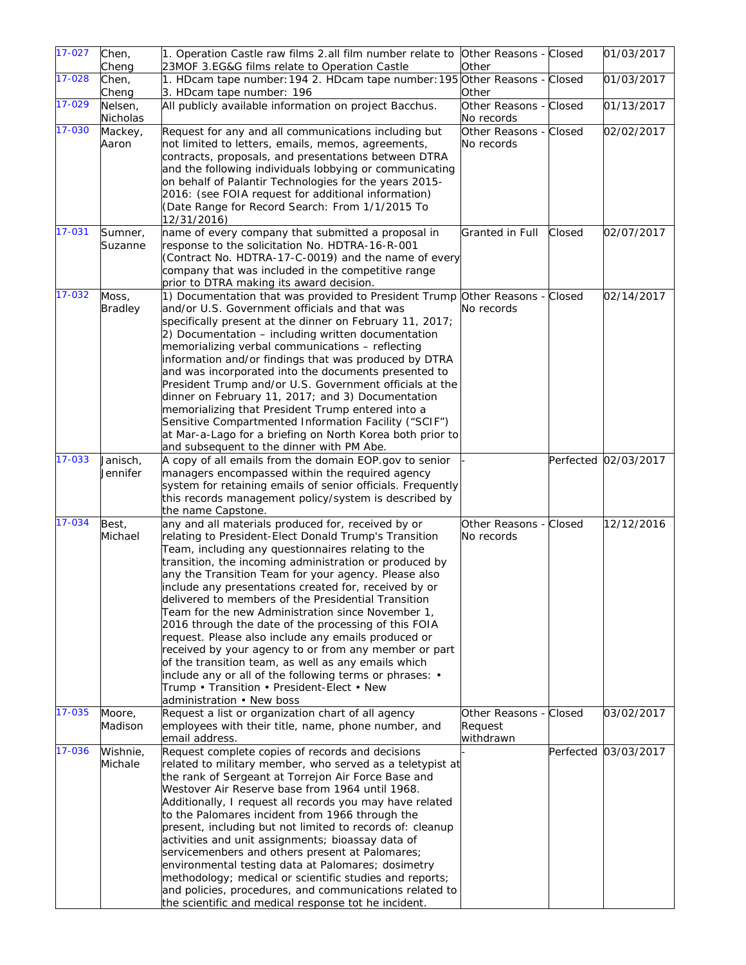| $17 - 027$ | Chen,          | 1. Operation Castle raw films 2.all film number relate to                                                       | Other Reasons - Closed |        | 01/03/2017           |
|------------|----------------|-----------------------------------------------------------------------------------------------------------------|------------------------|--------|----------------------|
|            | Cheng          | 23MOF 3.EG&G films relate to Operation Castle                                                                   | Other                  |        |                      |
| 17-028     | Chen,          | 1. HDcam tape number: 194 2. HDcam tape number: 195 Other Reasons - Closed                                      |                        |        | 01/03/2017           |
|            | Cheng          | 3. HDcam tape number: 196                                                                                       | Other                  |        |                      |
| 17-029     | Nelsen,        | All publicly available information on project Bacchus.                                                          | Other Reasons - Closed |        | 01/13/2017           |
|            | Nicholas       |                                                                                                                 | No records             |        |                      |
| 17-030     | Mackey,        | Request for any and all communications including but                                                            | Other Reasons - Closed |        | 02/02/2017           |
|            | Aaron          | not limited to letters, emails, memos, agreements,                                                              | No records             |        |                      |
|            |                | contracts, proposals, and presentations between DTRA                                                            |                        |        |                      |
|            |                | and the following individuals lobbying or communicating                                                         |                        |        |                      |
|            |                | on behalf of Palantir Technologies for the years 2015-                                                          |                        |        |                      |
|            |                | 2016: (see FOIA request for additional information)                                                             |                        |        |                      |
|            |                | (Date Range for Record Search: From 1/1/2015 To                                                                 |                        |        |                      |
|            |                | 12/31/2016)                                                                                                     |                        |        |                      |
| 17-031     | Sumner,        | name of every company that submitted a proposal in                                                              | Granted in Full        | Closed | 02/07/2017           |
|            | Suzanne        | response to the solicitation No. HDTRA-16-R-001                                                                 |                        |        |                      |
|            |                | (Contract No. HDTRA-17-C-0019) and the name of every                                                            |                        |        |                      |
|            |                | company that was included in the competitive range                                                              |                        |        |                      |
|            |                | prior to DTRA making its award decision.                                                                        |                        |        |                      |
| 17-032     | Moss,          | 1) Documentation that was provided to President Trump Other Reasons - Closed                                    |                        |        | 02/14/2017           |
|            | <b>Bradley</b> | and/or U.S. Government officials and that was                                                                   | No records             |        |                      |
|            |                | specifically present at the dinner on February 11, 2017;                                                        |                        |        |                      |
|            |                | 2) Documentation - including written documentation                                                              |                        |        |                      |
|            |                | memorializing verbal communications - reflecting                                                                |                        |        |                      |
|            |                | information and/or findings that was produced by DTRA                                                           |                        |        |                      |
|            |                | and was incorporated into the documents presented to<br>President Trump and/or U.S. Government officials at the |                        |        |                      |
|            |                | dinner on February 11, 2017; and 3) Documentation                                                               |                        |        |                      |
|            |                | memorializing that President Trump entered into a                                                               |                        |        |                      |
|            |                | Sensitive Compartmented Information Facility ("SCIF")                                                           |                        |        |                      |
|            |                | at Mar-a-Lago for a briefing on North Korea both prior to                                                       |                        |        |                      |
|            |                | and subsequent to the dinner with PM Abe.                                                                       |                        |        |                      |
| 17-033     | Janisch,       | A copy of all emails from the domain EOP gov to senior                                                          |                        |        | Perfected 02/03/2017 |
|            | Jennifer       | managers encompassed within the required agency                                                                 |                        |        |                      |
|            |                | system for retaining emails of senior officials. Frequently                                                     |                        |        |                      |
|            |                | this records management policy/system is described by                                                           |                        |        |                      |
|            |                | the name Capstone.                                                                                              |                        |        |                      |
| 17-034     | Best,          | any and all materials produced for, received by or                                                              | Other Reasons - Closed |        | 12/12/2016           |
|            | Michael        | relating to President-Elect Donald Trump's Transition                                                           | No records             |        |                      |
|            |                | Team, including any questionnaires relating to the                                                              |                        |        |                      |
|            |                | transition, the incoming administration or produced by                                                          |                        |        |                      |
|            |                | any the Transition Team for your agency. Please also                                                            |                        |        |                      |
|            |                | include any presentations created for, received by or                                                           |                        |        |                      |
|            |                | delivered to members of the Presidential Transition<br>Team for the new Administration since November 1,        |                        |        |                      |
|            |                | 2016 through the date of the processing of this FOIA                                                            |                        |        |                      |
|            |                | request. Please also include any emails produced or                                                             |                        |        |                      |
|            |                | received by your agency to or from any member or part                                                           |                        |        |                      |
|            |                | of the transition team, as well as any emails which                                                             |                        |        |                      |
|            |                | include any or all of the following terms or phrases: $\cdot$                                                   |                        |        |                      |
|            |                | Trump • Transition • President-Elect • New                                                                      |                        |        |                      |
|            |                | administration . New boss                                                                                       |                        |        |                      |
| 17-035     | Moore,         | Request a list or organization chart of all agency                                                              | Other Reasons - Closed |        | 03/02/2017           |
|            | Madison        | employees with their title, name, phone number, and                                                             | Request                |        |                      |
|            |                | email address.                                                                                                  | withdrawn              |        |                      |
| 17-036     | Wishnie,       | Request complete copies of records and decisions                                                                |                        |        | Perfected 03/03/2017 |
|            | Michale        | related to military member, who served as a teletypist at                                                       |                        |        |                      |
|            |                | the rank of Sergeant at Torrejon Air Force Base and                                                             |                        |        |                      |
|            |                | Westover Air Reserve base from 1964 until 1968.                                                                 |                        |        |                      |
|            |                | Additionally, I request all records you may have related                                                        |                        |        |                      |
|            |                | to the Palomares incident from 1966 through the                                                                 |                        |        |                      |
|            |                | present, including but not limited to records of: cleanup                                                       |                        |        |                      |
|            |                | activities and unit assignments; bioassay data of                                                               |                        |        |                      |
|            |                |                                                                                                                 |                        |        |                      |
|            |                | servicemenbers and others present at Palomares;                                                                 |                        |        |                      |
|            |                | environmental testing data at Palomares; dosimetry                                                              |                        |        |                      |
|            |                | methodology; medical or scientific studies and reports;                                                         |                        |        |                      |
|            |                | and policies, procedures, and communications related to<br>the scientific and medical response tot he incident. |                        |        |                      |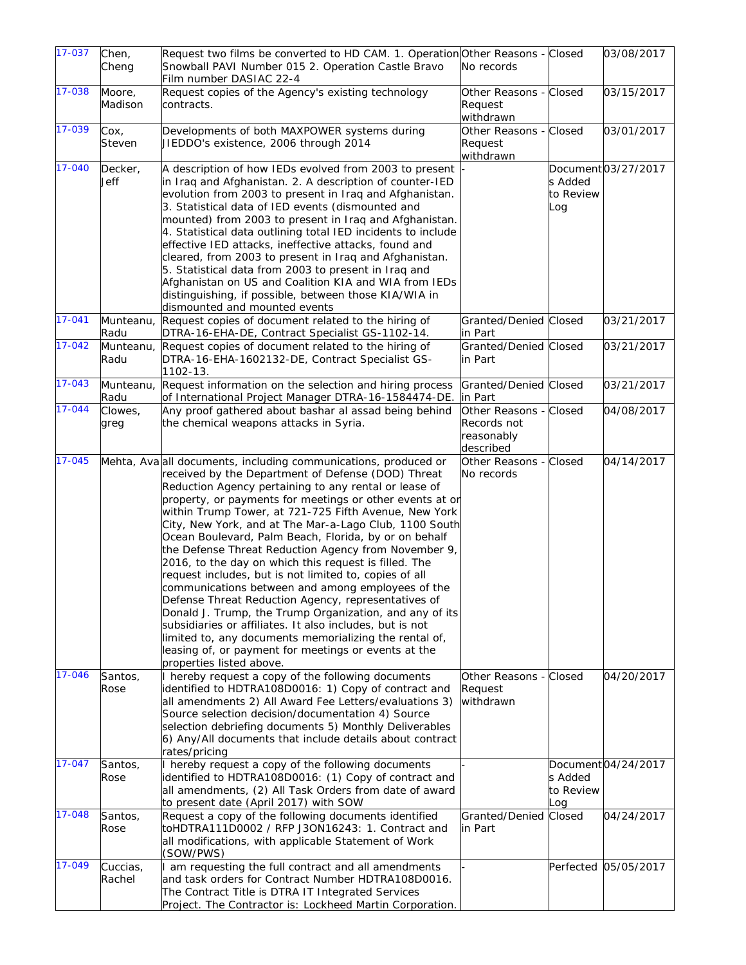| 17-037     | Chen,              | Request two films be converted to HD CAM. 1. Operation Other Reasons - Closed                                                                                                                                                                                                                                                                                                                                                                                                                                                                                                                                                                                                                                                                                                                                                                                                                                                                                                      |                                                                  |                             | 03/08/2017           |
|------------|--------------------|------------------------------------------------------------------------------------------------------------------------------------------------------------------------------------------------------------------------------------------------------------------------------------------------------------------------------------------------------------------------------------------------------------------------------------------------------------------------------------------------------------------------------------------------------------------------------------------------------------------------------------------------------------------------------------------------------------------------------------------------------------------------------------------------------------------------------------------------------------------------------------------------------------------------------------------------------------------------------------|------------------------------------------------------------------|-----------------------------|----------------------|
|            | Cheng              | Snowball PAVI Number 015 2. Operation Castle Bravo<br>Film number DASIAC 22-4                                                                                                                                                                                                                                                                                                                                                                                                                                                                                                                                                                                                                                                                                                                                                                                                                                                                                                      | No records                                                       |                             |                      |
| 17-038     | Moore,<br>Madison  | Request copies of the Agency's existing technology<br>contracts.                                                                                                                                                                                                                                                                                                                                                                                                                                                                                                                                                                                                                                                                                                                                                                                                                                                                                                                   | Other Reasons - Closed<br>Request<br>withdrawn                   |                             | 03/15/2017           |
| 17-039     | Cox,<br>Steven     | Developments of both MAXPOWER systems during<br>JIEDDO's existence, 2006 through 2014                                                                                                                                                                                                                                                                                                                                                                                                                                                                                                                                                                                                                                                                                                                                                                                                                                                                                              | Other Reasons - Closed<br>Request<br>withdrawn                   |                             | 03/01/2017           |
| 17-040     | Decker,<br>Jeff    | A description of how IEDs evolved from 2003 to present<br>in Iraq and Afghanistan. 2. A description of counter-IED<br>evolution from 2003 to present in Iraq and Afghanistan.<br>3. Statistical data of IED events (dismounted and<br>mounted) from 2003 to present in Iraq and Afghanistan.<br>4. Statistical data outlining total IED incidents to include<br>effective IED attacks, ineffective attacks, found and<br>cleared, from 2003 to present in Iraq and Afghanistan.<br>5. Statistical data from 2003 to present in Iraq and<br>Afghanistan on US and Coalition KIA and WIA from IEDs<br>distinguishing, if possible, between those KIA/WIA in<br>dismounted and mounted events                                                                                                                                                                                                                                                                                         |                                                                  | s Added<br>to Review<br>Log | Document03/27/2017   |
| $17 - 041$ | Munteanu,<br>Radu  | Request copies of document related to the hiring of<br>DTRA-16-EHA-DE, Contract Specialist GS-1102-14.                                                                                                                                                                                                                                                                                                                                                                                                                                                                                                                                                                                                                                                                                                                                                                                                                                                                             | Granted/Denied Closed<br>in Part                                 |                             | 03/21/2017           |
| 17-042     | Munteanu,<br>Radu  | Request copies of document related to the hiring of<br>DTRA-16-EHA-1602132-DE, Contract Specialist GS-<br>1102-13.                                                                                                                                                                                                                                                                                                                                                                                                                                                                                                                                                                                                                                                                                                                                                                                                                                                                 | Granted/Denied Closed<br>in Part                                 |                             | 03/21/2017           |
| 17-043     | Munteanu,<br>Radu  | Request information on the selection and hiring process<br>of International Project Manager DTRA-16-1584474-DE.                                                                                                                                                                                                                                                                                                                                                                                                                                                                                                                                                                                                                                                                                                                                                                                                                                                                    | Granted/Denied Closed<br>in Part                                 |                             | 03/21/2017           |
| 17-044     | Clowes,<br>greg    | Any proof gathered about bashar al assad being behind<br>the chemical weapons attacks in Syria.                                                                                                                                                                                                                                                                                                                                                                                                                                                                                                                                                                                                                                                                                                                                                                                                                                                                                    | Other Reasons - Closed<br>Records not<br>reasonably<br>described |                             | 04/08/2017           |
| 17-045     |                    | Mehta, Ava all documents, including communications, produced or<br>received by the Department of Defense (DOD) Threat<br>Reduction Agency pertaining to any rental or lease of<br>property, or payments for meetings or other events at or<br>within Trump Tower, at 721-725 Fifth Avenue, New York<br>City, New York, and at The Mar-a-Lago Club, 1100 South<br>Ocean Boulevard, Palm Beach, Florida, by or on behalf<br>the Defense Threat Reduction Agency from November 9,<br>2016, to the day on which this request is filled. The<br>request includes, but is not limited to, copies of all<br>communications between and among employees of the<br>Defense Threat Reduction Agency, representatives of<br>Donald J. Trump, the Trump Organization, and any of its<br>subsidiaries or affiliates. It also includes, but is not<br>limited to, any documents memorializing the rental of,<br>leasing of, or payment for meetings or events at the<br>properties listed above. | Other Reasons - Closed<br>No records                             |                             | 04/14/2017           |
| 17-046     | Santos,<br>Rose    | I hereby request a copy of the following documents<br>identified to HDTRA108D0016: 1) Copy of contract and<br>all amendments 2) All Award Fee Letters/evaluations 3)<br>Source selection decision/documentation 4) Source<br>selection debriefing documents 5) Monthly Deliverables<br>6) Any/All documents that include details about contract<br>rates/pricing                                                                                                                                                                                                                                                                                                                                                                                                                                                                                                                                                                                                                   | Other Reasons - Closed<br>Request<br>withdrawn                   |                             | 04/20/2017           |
| $17 - 047$ | Santos,<br>Rose    | I hereby request a copy of the following documents<br>identified to HDTRA108D0016: (1) Copy of contract and<br>all amendments, (2) All Task Orders from date of award<br>to present date (April 2017) with SOW                                                                                                                                                                                                                                                                                                                                                                                                                                                                                                                                                                                                                                                                                                                                                                     |                                                                  | s Added<br>to Review<br>.oq | Document 04/24/2017  |
| 17-048     | Santos,<br>Rose    | Request a copy of the following documents identified<br>toHDTRA111D0002 / RFP J3ON16243: 1. Contract and<br>all modifications, with applicable Statement of Work<br>(SOW/PWS)                                                                                                                                                                                                                                                                                                                                                                                                                                                                                                                                                                                                                                                                                                                                                                                                      | Granted/Denied<br>in Part                                        | Closed                      | 04/24/2017           |
| 17-049     | Cuccias,<br>Rachel | I am requesting the full contract and all amendments<br>and task orders for Contract Number HDTRA108D0016.<br>The Contract Title is DTRA IT Integrated Services<br>Project. The Contractor is: Lockheed Martin Corporation.                                                                                                                                                                                                                                                                                                                                                                                                                                                                                                                                                                                                                                                                                                                                                        |                                                                  |                             | Perfected 05/05/2017 |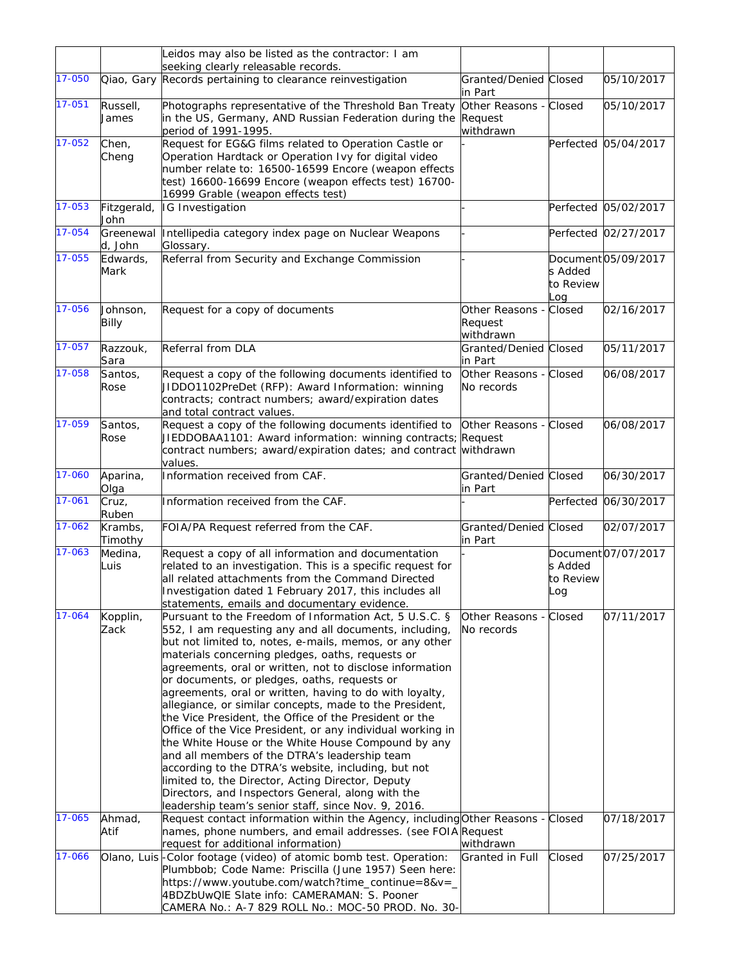|                  |                            | Leidos may also be listed as the contractor: I am                                                                                                                                                                                                                                                                                                                                                                                                                                                                                                                                                                                                                                                                                                                                                                                                                                                                                                                                                           |                                         |                             |                          |
|------------------|----------------------------|-------------------------------------------------------------------------------------------------------------------------------------------------------------------------------------------------------------------------------------------------------------------------------------------------------------------------------------------------------------------------------------------------------------------------------------------------------------------------------------------------------------------------------------------------------------------------------------------------------------------------------------------------------------------------------------------------------------------------------------------------------------------------------------------------------------------------------------------------------------------------------------------------------------------------------------------------------------------------------------------------------------|-----------------------------------------|-----------------------------|--------------------------|
|                  |                            | seeking clearly releasable records.                                                                                                                                                                                                                                                                                                                                                                                                                                                                                                                                                                                                                                                                                                                                                                                                                                                                                                                                                                         |                                         |                             |                          |
| 17-050           |                            | Qiao, Gary Records pertaining to clearance reinvestigation                                                                                                                                                                                                                                                                                                                                                                                                                                                                                                                                                                                                                                                                                                                                                                                                                                                                                                                                                  | Granted/Denied Closed<br>in Part        |                             | 05/10/2017               |
| 17-051           | Russell,<br>James          | Photographs representative of the Threshold Ban Treaty<br>in the US, Germany, AND Russian Federation during the Request<br>period of 1991-1995.                                                                                                                                                                                                                                                                                                                                                                                                                                                                                                                                                                                                                                                                                                                                                                                                                                                             | Other Reasons - Closed<br>withdrawn     |                             | 05/10/2017               |
| 17-052           | Chen,<br>Cheng             | Request for EG&G films related to Operation Castle or<br>Operation Hardtack or Operation Ivy for digital video<br>number relate to: 16500-16599 Encore (weapon effects<br>test) 16600-16699 Encore (weapon effects test) 16700-<br>16999 Grable (weapon effects test)                                                                                                                                                                                                                                                                                                                                                                                                                                                                                                                                                                                                                                                                                                                                       |                                         |                             | Perfected 05/04/2017     |
| 17-053           | Fitzgerald,<br>John        | IG Investigation                                                                                                                                                                                                                                                                                                                                                                                                                                                                                                                                                                                                                                                                                                                                                                                                                                                                                                                                                                                            |                                         |                             | Perfected 05/02/2017     |
| 17-054           | Greenewal<br>d, John       | Intellipedia category index page on Nuclear Weapons<br>Glossary.                                                                                                                                                                                                                                                                                                                                                                                                                                                                                                                                                                                                                                                                                                                                                                                                                                                                                                                                            |                                         |                             | Perfected 02/27/2017     |
| 17-055           | Edwards,<br>Mark           | Referral from Security and Exchange Commission                                                                                                                                                                                                                                                                                                                                                                                                                                                                                                                                                                                                                                                                                                                                                                                                                                                                                                                                                              |                                         | s Added<br>to Review<br>_oq | Document 05/09/2017      |
| 17-056           | Johnson,<br>Billy          | Request for a copy of documents                                                                                                                                                                                                                                                                                                                                                                                                                                                                                                                                                                                                                                                                                                                                                                                                                                                                                                                                                                             | Other Reasons -<br>Request<br>withdrawn | Closed                      | 02/16/2017               |
| 17-057           | Razzouk,<br>Sara           | Referral from DLA                                                                                                                                                                                                                                                                                                                                                                                                                                                                                                                                                                                                                                                                                                                                                                                                                                                                                                                                                                                           | Granted/Denied Closed<br>in Part        |                             | 05/11/2017               |
| 17-058           | Santos,<br>Rose            | Request a copy of the following documents identified to<br>JIDDO1102PreDet (RFP): Award Information: winning<br>contracts; contract numbers; award/expiration dates<br>and total contract values.                                                                                                                                                                                                                                                                                                                                                                                                                                                                                                                                                                                                                                                                                                                                                                                                           | Other Reasons - Closed<br>No records    |                             | 06/08/2017               |
| 17-059           | Santos,<br>Rose            | Request a copy of the following documents identified to<br>JIEDDOBAA1101: Award information: winning contracts; Request<br>contract numbers; award/expiration dates; and contract<br>values.                                                                                                                                                                                                                                                                                                                                                                                                                                                                                                                                                                                                                                                                                                                                                                                                                | Other Reasons - Closed<br>withdrawn     |                             | 06/08/2017               |
| 17-060           | Aparina,<br>Olga           | Information received from CAF.                                                                                                                                                                                                                                                                                                                                                                                                                                                                                                                                                                                                                                                                                                                                                                                                                                                                                                                                                                              | Granted/Denied Closed<br>in Part        |                             | 06/30/2017               |
| 17-061           | Cruz,<br>Ruben             | Information received from the CAF.                                                                                                                                                                                                                                                                                                                                                                                                                                                                                                                                                                                                                                                                                                                                                                                                                                                                                                                                                                          |                                         |                             | Perfected 06/30/2017     |
| 17-062           | Krambs.<br>Timothy         | FOIA/PA Request referred from the CAF.                                                                                                                                                                                                                                                                                                                                                                                                                                                                                                                                                                                                                                                                                                                                                                                                                                                                                                                                                                      | Granted/Denied Closed<br>in Part        |                             | 02/07/2017               |
| 17-063           | Medina,<br>Luis            | Request a copy of all information and documentation<br>related to an investigation. This is a specific request for<br>all related attachments from the Command Directed<br>Investigation dated 1 February 2017, this includes all<br>statements, emails and documentary evidence.                                                                                                                                                                                                                                                                                                                                                                                                                                                                                                                                                                                                                                                                                                                           |                                         | s Added<br>to Review<br>Log | Document 07/07/2017      |
| 17-064<br>17-065 | Kopplin,<br>Zack<br>Ahmad, | Pursuant to the Freedom of Information Act, 5 U.S.C. §<br>552, I am requesting any and all documents, including,<br>but not limited to, notes, e-mails, memos, or any other<br>materials concerning pledges, oaths, requests or<br>agreements, oral or written, not to disclose information<br>or documents, or pledges, oaths, requests or<br>agreements, oral or written, having to do with loyalty,<br>allegiance, or similar concepts, made to the President,<br>the Vice President, the Office of the President or the<br>Office of the Vice President, or any individual working in<br>the White House or the White House Compound by any<br>and all members of the DTRA's leadership team<br>according to the DTRA's website, including, but not<br>limited to, the Director, Acting Director, Deputy<br>Directors, and Inspectors General, along with the<br>leadership team's senior staff, since Nov. 9, 2016.<br>Request contact information within the Agency, including Other Reasons - Closed | Other Reasons -<br>No records           | Closed                      | 07/11/2017<br>07/18/2017 |
|                  | Atif                       | names, phone numbers, and email addresses. (see FOIA Request<br>request for additional information)                                                                                                                                                                                                                                                                                                                                                                                                                                                                                                                                                                                                                                                                                                                                                                                                                                                                                                         | withdrawn                               |                             |                          |
| 17-066           |                            | Olano, Luis-Color footage (video) of atomic bomb test. Operation:<br>Plumbbob; Code Name: Priscilla (June 1957) Seen here:<br>https://www.youtube.com/watch?time_continue=8&v=_<br>4BDZbUwQIE Slate info: CAMERAMAN: S. Pooner<br>CAMERA No.: A-7 829 ROLL No.: MOC-50 PROD. No. 30-                                                                                                                                                                                                                                                                                                                                                                                                                                                                                                                                                                                                                                                                                                                        | Granted in Full                         | Closed                      | 07/25/2017               |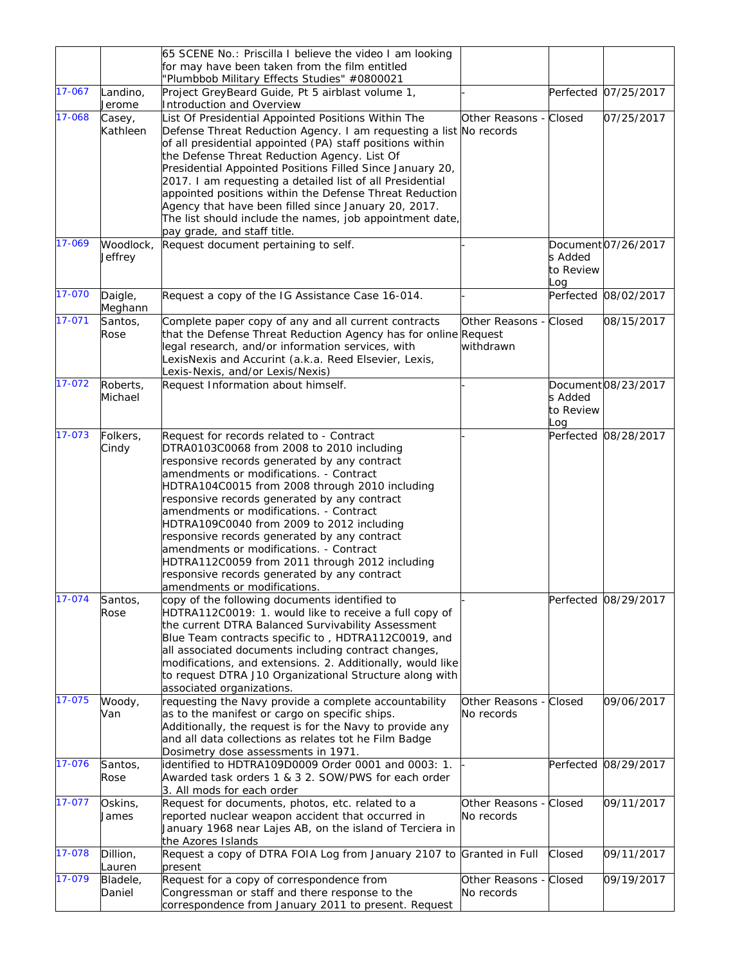|        |                      | 65 SCENE No.: Priscilla I believe the video I am looking                                                                                                                                                                                                                                                                                                                                                                                                                                                                                                                                                 |                                      |                             |                      |
|--------|----------------------|----------------------------------------------------------------------------------------------------------------------------------------------------------------------------------------------------------------------------------------------------------------------------------------------------------------------------------------------------------------------------------------------------------------------------------------------------------------------------------------------------------------------------------------------------------------------------------------------------------|--------------------------------------|-----------------------------|----------------------|
|        |                      | for may have been taken from the film entitled<br>"Plumbbob Military Effects Studies" #0800021                                                                                                                                                                                                                                                                                                                                                                                                                                                                                                           |                                      |                             |                      |
| 17-067 | Landino,<br>Jerome   | Project GreyBeard Guide, Pt 5 airblast volume 1,<br>Introduction and Overview                                                                                                                                                                                                                                                                                                                                                                                                                                                                                                                            |                                      |                             | Perfected 07/25/2017 |
| 17-068 | Casey,<br>Kathleen   | List Of Presidential Appointed Positions Within The<br>Defense Threat Reduction Agency. I am requesting a list No records<br>of all presidential appointed (PA) staff positions within<br>the Defense Threat Reduction Agency. List Of<br>Presidential Appointed Positions Filled Since January 20,<br>2017. I am requesting a detailed list of all Presidential<br>appointed positions within the Defense Threat Reduction<br>Agency that have been filled since January 20, 2017.<br>The list should include the names, job appointment date,<br>pay grade, and staff title.                           | Other Reasons - Closed               |                             | 07/25/2017           |
| 17-069 | Woodlock,<br>Jeffrey | Request document pertaining to self.                                                                                                                                                                                                                                                                                                                                                                                                                                                                                                                                                                     |                                      | s Added<br>to Review<br>.oq | Document 07/26/2017  |
| 17-070 | Daigle,<br>Meghann   | Request a copy of the IG Assistance Case 16-014.                                                                                                                                                                                                                                                                                                                                                                                                                                                                                                                                                         |                                      |                             | Perfected 08/02/2017 |
| 17-071 | Santos,<br>Rose      | Complete paper copy of any and all current contracts<br>that the Defense Threat Reduction Agency has for online Request<br>legal research, and/or information services, with<br>LexisNexis and Accurint (a.k.a. Reed Elsevier, Lexis,<br>Lexis-Nexis, and/or Lexis/Nexis)                                                                                                                                                                                                                                                                                                                                | Other Reasons - Closed<br>withdrawn  |                             | 08/15/2017           |
| 17-072 | Roberts,<br>Michael  | Request Information about himself.                                                                                                                                                                                                                                                                                                                                                                                                                                                                                                                                                                       |                                      | s Added<br>to Review<br>_oq | Document08/23/2017   |
| 17-073 | Folkers,<br>Cindy    | Request for records related to - Contract<br>DTRA0103C0068 from 2008 to 2010 including<br>responsive records generated by any contract<br>amendments or modifications. - Contract<br>HDTRA104C0015 from 2008 through 2010 including<br>responsive records generated by any contract<br>amendments or modifications. - Contract<br>HDTRA109C0040 from 2009 to 2012 including<br>responsive records generated by any contract<br>amendments or modifications. - Contract<br>HDTRA112C0059 from 2011 through 2012 including<br>responsive records generated by any contract<br>amendments or modifications. |                                      |                             | Perfected 08/28/2017 |
| 17-074 | Santos,<br>Rose      | copy of the following documents identified to<br>HDTRA112C0019: 1. would like to receive a full copy of<br>the current DTRA Balanced Survivability Assessment<br>Blue Team contracts specific to, HDTRA112C0019, and<br>all associated documents including contract changes,<br>modifications, and extensions. 2. Additionally, would like<br>to request DTRA J10 Organizational Structure along with<br>associated organizations.                                                                                                                                                                       |                                      |                             | Perfected 08/29/2017 |
| 17-075 | Woody,<br>Van        | requesting the Navy provide a complete accountability<br>as to the manifest or cargo on specific ships.<br>Additionally, the request is for the Navy to provide any<br>and all data collections as relates tot he Film Badge<br>Dosimetry dose assessments in 1971.                                                                                                                                                                                                                                                                                                                                      | Other Reasons - Closed<br>No records |                             | 09/06/2017           |
| 17-076 | Santos,<br>Rose      | identified to HDTRA109D0009 Order 0001 and 0003: 1.<br>Awarded task orders 1 & 3 2. SOW/PWS for each order<br>3. All mods for each order                                                                                                                                                                                                                                                                                                                                                                                                                                                                 |                                      |                             | Perfected 08/29/2017 |
| 17-077 | Oskins,<br>James     | Request for documents, photos, etc. related to a<br>reported nuclear weapon accident that occurred in<br>January 1968 near Lajes AB, on the island of Terciera in<br>the Azores Islands                                                                                                                                                                                                                                                                                                                                                                                                                  | Other Reasons -<br>No records        | Closed                      | 09/11/2017           |
| 17-078 | Dillion,<br>Lauren   | Request a copy of DTRA FOIA Log from January 2107 to Granted in Full<br>present                                                                                                                                                                                                                                                                                                                                                                                                                                                                                                                          |                                      | Closed                      | 09/11/2017           |
| 17-079 | Bladele,<br>Daniel   | Request for a copy of correspondence from<br>Congressman or staff and there response to the<br>correspondence from January 2011 to present. Request                                                                                                                                                                                                                                                                                                                                                                                                                                                      | Other Reasons -<br>No records        | Closed                      | 09/19/2017           |